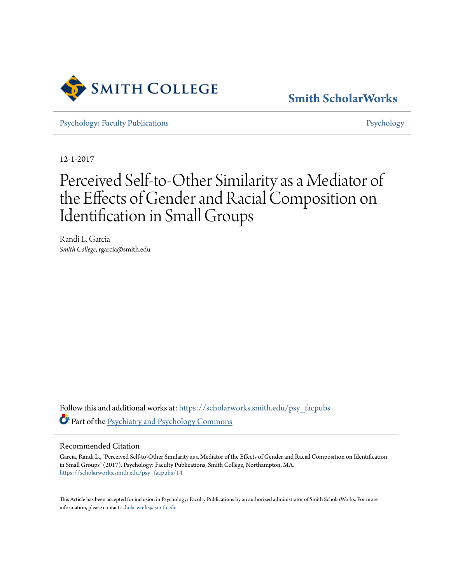

**[Smith ScholarWorks](https://scholarworks.smith.edu?utm_source=scholarworks.smith.edu%2Fpsy_facpubs%2F14&utm_medium=PDF&utm_campaign=PDFCoverPages)**

[Psychology: Faculty Publications](https://scholarworks.smith.edu/psy_facpubs?utm_source=scholarworks.smith.edu%2Fpsy_facpubs%2F14&utm_medium=PDF&utm_campaign=PDFCoverPages) **[Psychology](https://scholarworks.smith.edu/psy?utm_source=scholarworks.smith.edu%2Fpsy_facpubs%2F14&utm_medium=PDF&utm_campaign=PDFCoverPages)** 

12-1-2017

# Perceived Self-to-Other Similarity as a Mediator of the Effects of Gender and Racial Composition on Identification in Small Groups

Randi L. Garcia *Smith College*, rgarcia@smith.edu

Follow this and additional works at: [https://scholarworks.smith.edu/psy\\_facpubs](https://scholarworks.smith.edu/psy_facpubs?utm_source=scholarworks.smith.edu%2Fpsy_facpubs%2F14&utm_medium=PDF&utm_campaign=PDFCoverPages) Part of the [Psychiatry and Psychology Commons](http://network.bepress.com/hgg/discipline/908?utm_source=scholarworks.smith.edu%2Fpsy_facpubs%2F14&utm_medium=PDF&utm_campaign=PDFCoverPages)

#### Recommended Citation

Garcia, Randi L., "Perceived Self-to-Other Similarity as a Mediator of the Effects of Gender and Racial Composition on Identification in Small Groups" (2017). Psychology: Faculty Publications, Smith College, Northampton, MA. [https://scholarworks.smith.edu/psy\\_facpubs/14](https://scholarworks.smith.edu/psy_facpubs/14?utm_source=scholarworks.smith.edu%2Fpsy_facpubs%2F14&utm_medium=PDF&utm_campaign=PDFCoverPages)

This Article has been accepted for inclusion in Psychology: Faculty Publications by an authorized administrator of Smith ScholarWorks. For more information, please contact [scholarworks@smith.edu](mailto:scholarworks@smith.edu)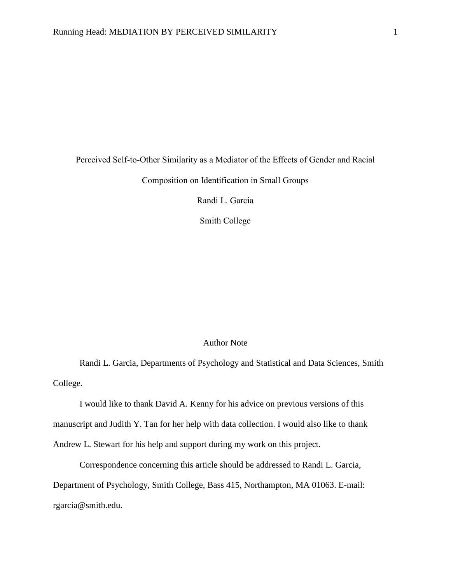## Perceived Self-to-Other Similarity as a Mediator of the Effects of Gender and Racial Composition on Identification in Small Groups

Randi L. Garcia

Smith College

#### Author Note

Randi L. Garcia, Departments of Psychology and Statistical and Data Sciences, Smith College.

I would like to thank David A. Kenny for his advice on previous versions of this manuscript and Judith Y. Tan for her help with data collection. I would also like to thank Andrew L. Stewart for his help and support during my work on this project.

Correspondence concerning this article should be addressed to Randi L. Garcia, Department of Psychology, Smith College, Bass 415, Northampton, MA 01063. E-mail: rgarcia@smith.edu.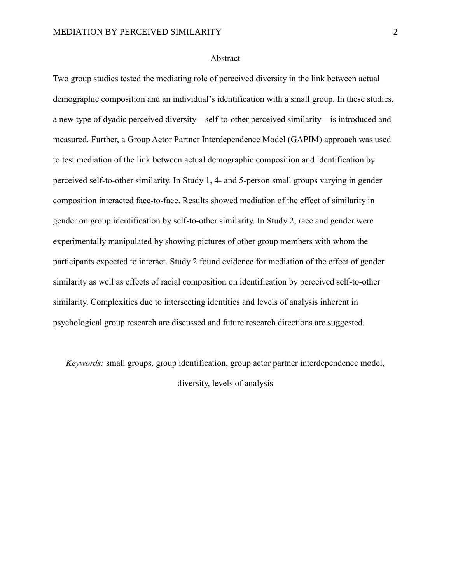#### Abstract

Two group studies tested the mediating role of perceived diversity in the link between actual demographic composition and an individual's identification with a small group. In these studies, a new type of dyadic perceived diversity—self-to-other perceived similarity—is introduced and measured. Further, a Group Actor Partner Interdependence Model (GAPIM) approach was used to test mediation of the link between actual demographic composition and identification by perceived self-to-other similarity. In Study 1, 4- and 5-person small groups varying in gender composition interacted face-to-face. Results showed mediation of the effect of similarity in gender on group identification by self-to-other similarity. In Study 2, race and gender were experimentally manipulated by showing pictures of other group members with whom the participants expected to interact. Study 2 found evidence for mediation of the effect of gender similarity as well as effects of racial composition on identification by perceived self-to-other similarity. Complexities due to intersecting identities and levels of analysis inherent in psychological group research are discussed and future research directions are suggested.

*Keywords:* small groups, group identification, group actor partner interdependence model, diversity, levels of analysis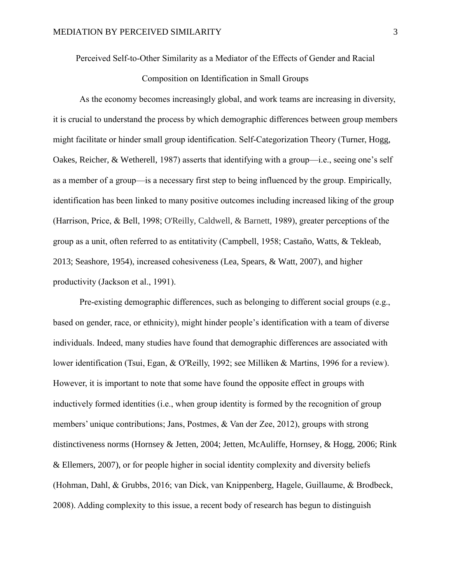Perceived Self-to-Other Similarity as a Mediator of the Effects of Gender and Racial

#### Composition on Identification in Small Groups

As the economy becomes increasingly global, and work teams are increasing in diversity, it is crucial to understand the process by which demographic differences between group members might facilitate or hinder small group identification. Self-Categorization Theory (Turner, Hogg, Oakes, Reicher, & Wetherell, 1987) asserts that identifying with a group—i.e., seeing one's self as a member of a group—is a necessary first step to being influenced by the group. Empirically, identification has been linked to many positive outcomes including increased liking of the group (Harrison, Price, & Bell, 1998; O'Reilly, Caldwell, & Barnett, 1989), greater perceptions of the group as a unit, often referred to as entitativity (Campbell, 1958; Castaño, Watts, & Tekleab, 2013; Seashore, 1954), increased cohesiveness (Lea, Spears, & Watt, 2007), and higher productivity (Jackson et al., 1991).

Pre-existing demographic differences, such as belonging to different social groups (e.g., based on gender, race, or ethnicity), might hinder people's identification with a team of diverse individuals. Indeed, many studies have found that demographic differences are associated with lower identification (Tsui, Egan, & O'Reilly, 1992; see Milliken & Martins, 1996 for a review). However, it is important to note that some have found the opposite effect in groups with inductively formed identities (i.e., when group identity is formed by the recognition of group members' unique contributions; Jans, Postmes, & Van der Zee, 2012), groups with strong distinctiveness norms (Hornsey & Jetten, 2004; Jetten, McAuliffe, Hornsey, & Hogg, 2006; Rink & Ellemers, 2007), or for people higher in social identity complexity and diversity beliefs (Hohman, Dahl, & Grubbs, 2016; van Dick, van Knippenberg, Hagele, Guillaume, & Brodbeck, 2008). Adding complexity to this issue, a recent body of research has begun to distinguish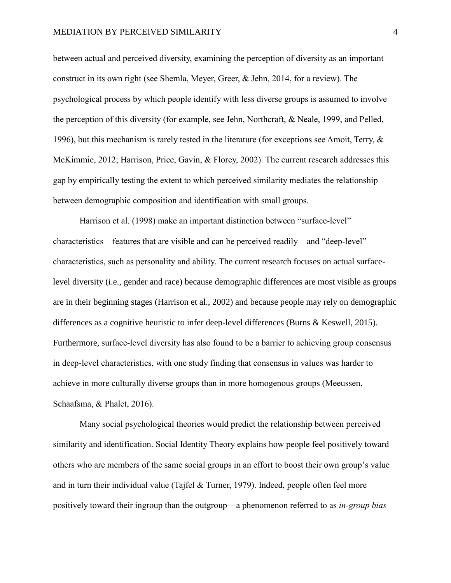between actual and perceived diversity, examining the perception of diversity as an important construct in its own right (see Shemla, Meyer, Greer, & Jehn, 2014, for a review). The psychological process by which people identify with less diverse groups is assumed to involve the perception of this diversity (for example, see Jehn, Northcraft, & Neale, 1999, and Pelled, 1996), but this mechanism is rarely tested in the literature (for exceptions see Amoit, Terry,  $\&$ McKimmie, 2012; Harrison, Price, Gavin, & Florey, 2002). The current research addresses this gap by empirically testing the extent to which perceived similarity mediates the relationship between demographic composition and identification with small groups.

Harrison et al. (1998) make an important distinction between "surface-level" characteristics—features that are visible and can be perceived readily—and "deep-level" characteristics, such as personality and ability. The current research focuses on actual surfacelevel diversity (i.e., gender and race) because demographic differences are most visible as groups are in their beginning stages (Harrison et al., 2002) and because people may rely on demographic differences as a cognitive heuristic to infer deep-level differences (Burns & Keswell, 2015). Furthermore, surface-level diversity has also found to be a barrier to achieving group consensus in deep-level characteristics, with one study finding that consensus in values was harder to achieve in more culturally diverse groups than in more homogenous groups (Meeussen, Schaafsma, & Phalet, 2016).

Many social psychological theories would predict the relationship between perceived similarity and identification. Social Identity Theory explains how people feel positively toward others who are members of the same social groups in an effort to boost their own group's value and in turn their individual value (Tajfel & Turner, 1979). Indeed, people often feel more positively toward their ingroup than the outgroup—a phenomenon referred to as *in-group bias*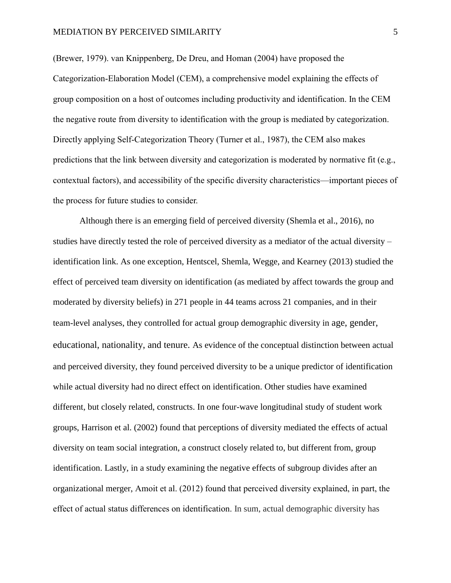#### MEDIATION BY PERCEIVED SIMILARITY 5

(Brewer, 1979). van Knippenberg, De Dreu, and Homan (2004) have proposed the Categorization-Elaboration Model (CEM), a comprehensive model explaining the effects of group composition on a host of outcomes including productivity and identification. In the CEM the negative route from diversity to identification with the group is mediated by categorization. Directly applying Self-Categorization Theory (Turner et al., 1987), the CEM also makes predictions that the link between diversity and categorization is moderated by normative fit (e.g., contextual factors), and accessibility of the specific diversity characteristics—important pieces of the process for future studies to consider.

Although there is an emerging field of perceived diversity (Shemla et al., 2016), no studies have directly tested the role of perceived diversity as a mediator of the actual diversity – identification link. As one exception, Hentscel, Shemla, Wegge, and Kearney (2013) studied the effect of perceived team diversity on identification (as mediated by affect towards the group and moderated by diversity beliefs) in 271 people in 44 teams across 21 companies, and in their team-level analyses, they controlled for actual group demographic diversity in age, gender, educational, nationality, and tenure. As evidence of the conceptual distinction between actual and perceived diversity, they found perceived diversity to be a unique predictor of identification while actual diversity had no direct effect on identification. Other studies have examined different, but closely related, constructs. In one four-wave longitudinal study of student work groups, Harrison et al. (2002) found that perceptions of diversity mediated the effects of actual diversity on team social integration, a construct closely related to, but different from, group identification. Lastly, in a study examining the negative effects of subgroup divides after an organizational merger, Amoit et al. (2012) found that perceived diversity explained, in part, the effect of actual status differences on identification. In sum, actual demographic diversity has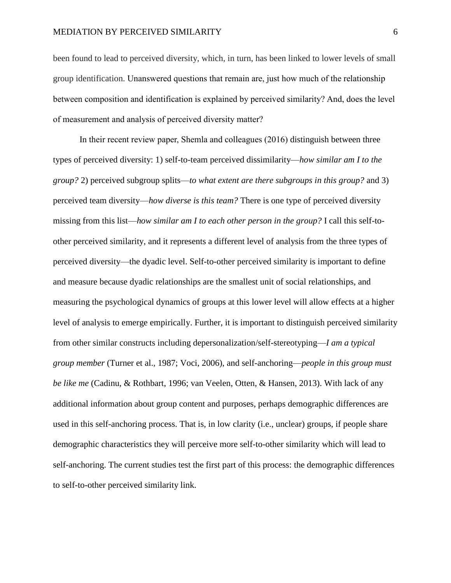been found to lead to perceived diversity, which, in turn, has been linked to lower levels of small group identification. Unanswered questions that remain are, just how much of the relationship between composition and identification is explained by perceived similarity? And, does the level of measurement and analysis of perceived diversity matter?

In their recent review paper, Shemla and colleagues (2016) distinguish between three types of perceived diversity: 1) self-to-team perceived dissimilarity—*how similar am I to the group?* 2) perceived subgroup splits—*to what extent are there subgroups in this group?* and 3) perceived team diversity—*how diverse is this team?* There is one type of perceived diversity missing from this list—*how similar am I to each other person in the group?* I call this self-toother perceived similarity, and it represents a different level of analysis from the three types of perceived diversity—the dyadic level. Self-to-other perceived similarity is important to define and measure because dyadic relationships are the smallest unit of social relationships, and measuring the psychological dynamics of groups at this lower level will allow effects at a higher level of analysis to emerge empirically. Further, it is important to distinguish perceived similarity from other similar constructs including depersonalization/self-stereotyping—*I am a typical group member* (Turner et al., 1987; Voci, 2006), and self-anchoring—*people in this group must be like me* (Cadinu, & Rothbart, 1996; van Veelen, Otten, & Hansen, 2013). With lack of any additional information about group content and purposes, perhaps demographic differences are used in this self-anchoring process. That is, in low clarity (i.e., unclear) groups, if people share demographic characteristics they will perceive more self-to-other similarity which will lead to self-anchoring. The current studies test the first part of this process: the demographic differences to self-to-other perceived similarity link.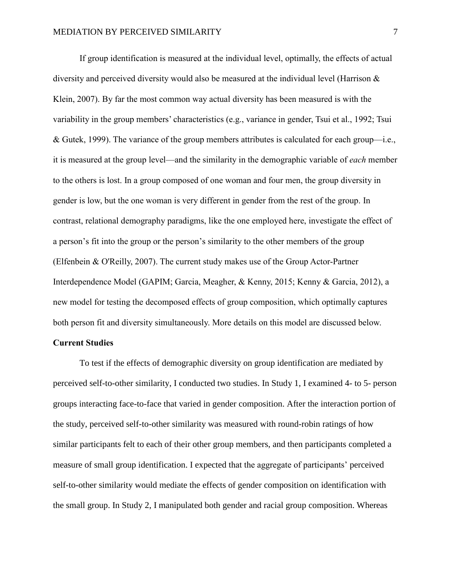If group identification is measured at the individual level, optimally, the effects of actual diversity and perceived diversity would also be measured at the individual level (Harrison & Klein, 2007). By far the most common way actual diversity has been measured is with the variability in the group members' characteristics (e.g., variance in gender, Tsui et al., 1992; Tsui & Gutek, 1999). The variance of the group members attributes is calculated for each group—i.e., it is measured at the group level—and the similarity in the demographic variable of *each* member to the others is lost. In a group composed of one woman and four men, the group diversity in gender is low, but the one woman is very different in gender from the rest of the group. In contrast, relational demography paradigms, like the one employed here, investigate the effect of a person's fit into the group or the person's similarity to the other members of the group (Elfenbein & O'Reilly, 2007). The current study makes use of the Group Actor-Partner Interdependence Model (GAPIM; Garcia, Meagher, & Kenny, 2015; Kenny & Garcia, 2012), a new model for testing the decomposed effects of group composition, which optimally captures both person fit and diversity simultaneously. More details on this model are discussed below.

#### **Current Studies**

To test if the effects of demographic diversity on group identification are mediated by perceived self-to-other similarity, I conducted two studies. In Study 1, I examined 4- to 5- person groups interacting face-to-face that varied in gender composition. After the interaction portion of the study, perceived self-to-other similarity was measured with round-robin ratings of how similar participants felt to each of their other group members, and then participants completed a measure of small group identification. I expected that the aggregate of participants' perceived self-to-other similarity would mediate the effects of gender composition on identification with the small group. In Study 2, I manipulated both gender and racial group composition. Whereas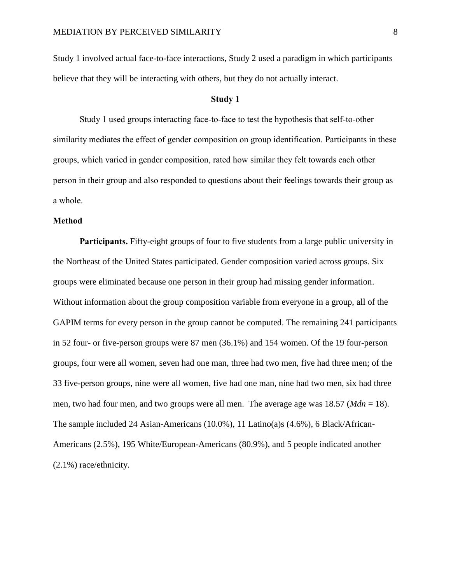Study 1 involved actual face-to-face interactions, Study 2 used a paradigm in which participants believe that they will be interacting with others, but they do not actually interact.

#### **Study 1**

Study 1 used groups interacting face-to-face to test the hypothesis that self-to-other similarity mediates the effect of gender composition on group identification. Participants in these groups, which varied in gender composition, rated how similar they felt towards each other person in their group and also responded to questions about their feelings towards their group as a whole.

#### **Method**

**Participants.** Fifty-eight groups of four to five students from a large public university in the Northeast of the United States participated. Gender composition varied across groups. Six groups were eliminated because one person in their group had missing gender information. Without information about the group composition variable from everyone in a group, all of the GAPIM terms for every person in the group cannot be computed. The remaining 241 participants in 52 four- or five-person groups were 87 men (36.1%) and 154 women. Of the 19 four-person groups, four were all women, seven had one man, three had two men, five had three men; of the 33 five-person groups, nine were all women, five had one man, nine had two men, six had three men, two had four men, and two groups were all men. The average age was  $18.57$  (*Mdn* = 18). The sample included 24 Asian-Americans (10.0%), 11 Latino(a)s (4.6%), 6 Black/African-Americans (2.5%), 195 White/European-Americans (80.9%), and 5 people indicated another (2.1%) race/ethnicity.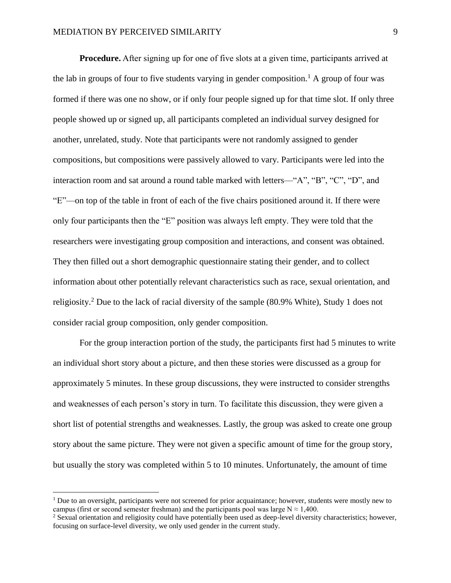**Procedure.** After signing up for one of five slots at a given time, participants arrived at the lab in groups of four to five students varying in gender composition.<sup>1</sup> A group of four was formed if there was one no show, or if only four people signed up for that time slot. If only three people showed up or signed up, all participants completed an individual survey designed for another, unrelated, study. Note that participants were not randomly assigned to gender compositions, but compositions were passively allowed to vary. Participants were led into the interaction room and sat around a round table marked with letters—"A", "B", "C", "D", and "E"—on top of the table in front of each of the five chairs positioned around it. If there were only four participants then the "E" position was always left empty. They were told that the researchers were investigating group composition and interactions, and consent was obtained. They then filled out a short demographic questionnaire stating their gender, and to collect information about other potentially relevant characteristics such as race, sexual orientation, and religiosity.<sup>2</sup> Due to the lack of racial diversity of the sample (80.9% White), Study 1 does not consider racial group composition, only gender composition.

For the group interaction portion of the study, the participants first had 5 minutes to write an individual short story about a picture, and then these stories were discussed as a group for approximately 5 minutes. In these group discussions, they were instructed to consider strengths and weaknesses of each person's story in turn. To facilitate this discussion, they were given a short list of potential strengths and weaknesses. Lastly, the group was asked to create one group story about the same picture. They were not given a specific amount of time for the group story, but usually the story was completed within 5 to 10 minutes. Unfortunately, the amount of time

 $\overline{a}$ 

<sup>&</sup>lt;sup>1</sup> Due to an oversight, participants were not screened for prior acquaintance; however, students were mostly new to campus (first or second semester freshman) and the participants pool was large  $N \approx 1,400$ .

<sup>&</sup>lt;sup>2</sup> Sexual orientation and religiosity could have potentially been used as deep-level diversity characteristics; however, focusing on surface-level diversity, we only used gender in the current study.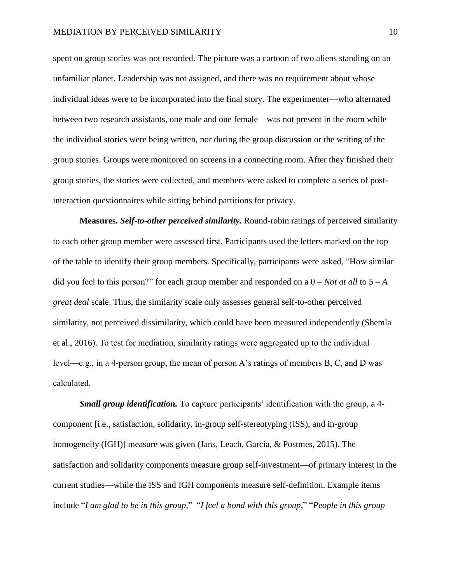spent on group stories was not recorded. The picture was a cartoon of two aliens standing on an unfamiliar planet. Leadership was not assigned, and there was no requirement about whose individual ideas were to be incorporated into the final story. The experimenter—who alternated between two research assistants, one male and one female—was not present in the room while the individual stories were being written, nor during the group discussion or the writing of the group stories. Groups were monitored on screens in a connecting room. After they finished their group stories, the stories were collected, and members were asked to complete a series of postinteraction questionnaires while sitting behind partitions for privacy.

**Measures.** *Self-to-other perceived similarity.* Round-robin ratings of perceived similarity to each other group member were assessed first. Participants used the letters marked on the top of the table to identify their group members. Specifically, participants were asked, "How similar did you feel to this person?" for each group member and responded on a  $0 - Not$  *at all* to  $5 - A$ *great deal* scale. Thus, the similarity scale only assesses general self-to-other perceived similarity, not perceived dissimilarity, which could have been measured independently (Shemla et al., 2016). To test for mediation, similarity ratings were aggregated up to the individual level—e.g., in a 4-person group, the mean of person A's ratings of members B, C, and D was calculated.

*Small group identification.* To capture participants' identification with the group, a 4 component [i.e., satisfaction, solidarity, in-group self-stereotyping (ISS), and in-group homogeneity (IGH)] measure was given (Jans, Leach, Garcia, & Postmes, 2015). The satisfaction and solidarity components measure group self-investment—of primary interest in the current studies—while the ISS and IGH components measure self-definition. Example items include "*I am glad to be in this group*," "*I feel a bond with this group*," "*People in this group*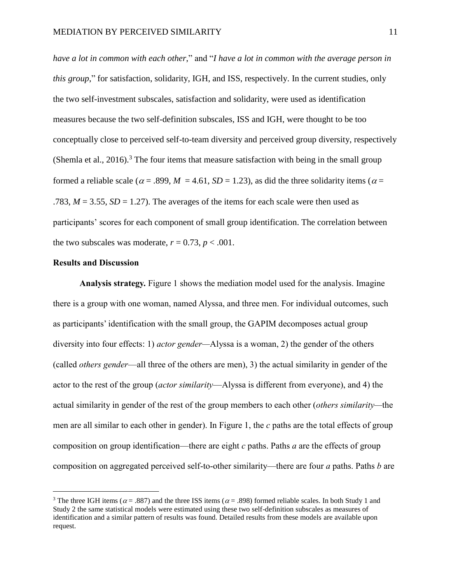*have a lot in common with each other*," and "*I have a lot in common with the average person in this group*," for satisfaction, solidarity, IGH, and ISS, respectively. In the current studies, only the two self-investment subscales, satisfaction and solidarity, were used as identification measures because the two self-definition subscales, ISS and IGH, were thought to be too conceptually close to perceived self-to-team diversity and perceived group diversity, respectively (Shemla et al., 2016).<sup>3</sup> The four items that measure satisfaction with being in the small group formed a reliable scale ( $\alpha$  = .899,  $M = 4.61$ ,  $SD = 1.23$ ), as did the three solidarity items ( $\alpha$  = .783,  $M = 3.55$ ,  $SD = 1.27$ ). The averages of the items for each scale were then used as participants' scores for each component of small group identification. The correlation between the two subscales was moderate,  $r = 0.73$ ,  $p < .001$ .

#### **Results and Discussion**

 $\overline{a}$ 

**Analysis strategy.** Figure 1 shows the mediation model used for the analysis. Imagine there is a group with one woman, named Alyssa, and three men. For individual outcomes, such as participants' identification with the small group, the GAPIM decomposes actual group diversity into four effects: 1) *actor gender—*Alyssa is a woman, 2) the gender of the others (called *others gender*—all three of the others are men), 3) the actual similarity in gender of the actor to the rest of the group (*actor similarity*—Alyssa is different from everyone), and 4) the actual similarity in gender of the rest of the group members to each other (*others similarity—*the men are all similar to each other in gender). In Figure 1, the *c* paths are the total effects of group composition on group identification—there are eight *c* paths. Paths *a* are the effects of group composition on aggregated perceived self-to-other similarity—there are four *a* paths. Paths *b* are

<sup>&</sup>lt;sup>3</sup> The three IGH items ( $\alpha$  = .887) and the three ISS items ( $\alpha$  = .898) formed reliable scales. In both Study 1 and Study 2 the same statistical models were estimated using these two self-definition subscales as measures of identification and a similar pattern of results was found. Detailed results from these models are available upon request.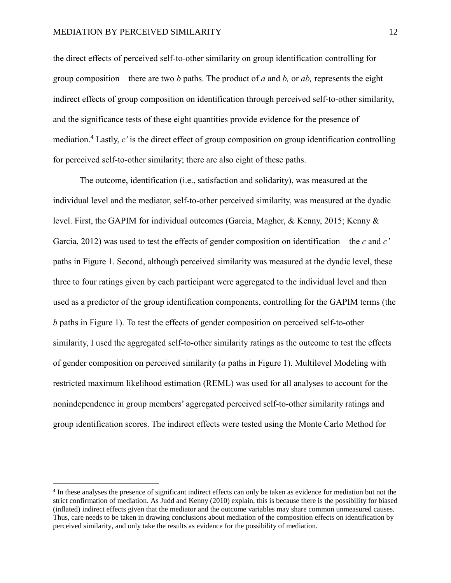$\overline{a}$ 

the direct effects of perceived self-to-other similarity on group identification controlling for group composition—there are two *b* paths. The product of *a* and *b,* or *ab,* represents the eight indirect effects of group composition on identification through perceived self-to-other similarity, and the significance tests of these eight quantities provide evidence for the presence of mediation.<sup>4</sup> Lastly, *cʹ* is the direct effect of group composition on group identification controlling for perceived self-to-other similarity; there are also eight of these paths.

The outcome, identification (i.e., satisfaction and solidarity), was measured at the individual level and the mediator, self-to-other perceived similarity, was measured at the dyadic level. First, the GAPIM for individual outcomes (Garcia, Magher, & Kenny, 2015; Kenny & Garcia, 2012) was used to test the effects of gender composition on identification—the *c* and *c'* paths in Figure 1. Second, although perceived similarity was measured at the dyadic level, these three to four ratings given by each participant were aggregated to the individual level and then used as a predictor of the group identification components, controlling for the GAPIM terms (the *b* paths in Figure 1). To test the effects of gender composition on perceived self-to-other similarity, I used the aggregated self-to-other similarity ratings as the outcome to test the effects of gender composition on perceived similarity (*a* paths in Figure 1). Multilevel Modeling with restricted maximum likelihood estimation (REML) was used for all analyses to account for the nonindependence in group members' aggregated perceived self-to-other similarity ratings and group identification scores. The indirect effects were tested using the Monte Carlo Method for

<sup>&</sup>lt;sup>4</sup> In these analyses the presence of significant indirect effects can only be taken as evidence for mediation but not the strict confirmation of mediation. As Judd and Kenny (2010) explain, this is because there is the possibility for biased (inflated) indirect effects given that the mediator and the outcome variables may share common unmeasured causes. Thus, care needs to be taken in drawing conclusions about mediation of the composition effects on identification by perceived similarity, and only take the results as evidence for the possibility of mediation.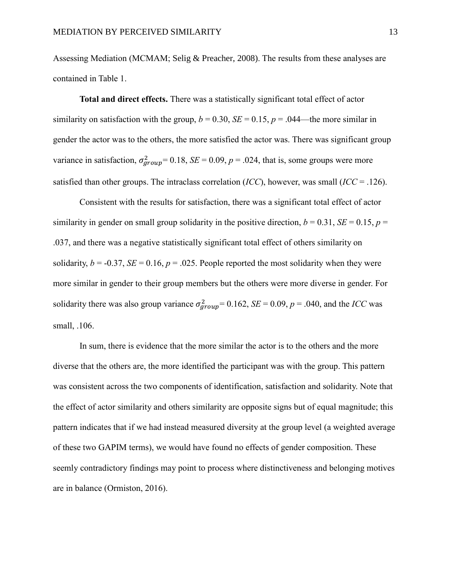Assessing Mediation (MCMAM; Selig & Preacher, 2008). The results from these analyses are contained in Table 1.

**Total and direct effects.** There was a statistically significant total effect of actor similarity on satisfaction with the group,  $b = 0.30$ ,  $SE = 0.15$ ,  $p = .044$ —the more similar in gender the actor was to the others, the more satisfied the actor was. There was significant group variance in satisfaction,  $\sigma_{group}^2 = 0.18$ ,  $SE = 0.09$ ,  $p = .024$ , that is, some groups were more satisfied than other groups. The intraclass correlation (*ICC*), however, was small (*ICC* = .126).

Consistent with the results for satisfaction, there was a significant total effect of actor similarity in gender on small group solidarity in the positive direction,  $b = 0.31$ ,  $SE = 0.15$ ,  $p =$ .037, and there was a negative statistically significant total effect of others similarity on solidarity,  $b = -0.37$ ,  $SE = 0.16$ ,  $p = .025$ . People reported the most solidarity when they were more similar in gender to their group members but the others were more diverse in gender. For solidarity there was also group variance  $\sigma_{group}^2 = 0.162$ ,  $SE = 0.09$ ,  $p = .040$ , and the *ICC* was small, .106.

In sum, there is evidence that the more similar the actor is to the others and the more diverse that the others are, the more identified the participant was with the group. This pattern was consistent across the two components of identification, satisfaction and solidarity. Note that the effect of actor similarity and others similarity are opposite signs but of equal magnitude; this pattern indicates that if we had instead measured diversity at the group level (a weighted average of these two GAPIM terms), we would have found no effects of gender composition. These seemly contradictory findings may point to process where distinctiveness and belonging motives are in balance (Ormiston, 2016).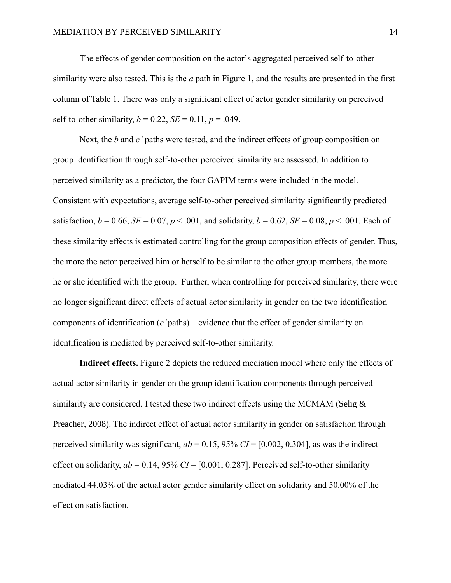The effects of gender composition on the actor's aggregated perceived self-to-other similarity were also tested. This is the *a* path in Figure 1, and the results are presented in the first column of Table 1. There was only a significant effect of actor gender similarity on perceived self-to-other similarity,  $b = 0.22$ ,  $SE = 0.11$ ,  $p = .049$ .

Next, the *b* and *c'* paths were tested, and the indirect effects of group composition on group identification through self-to-other perceived similarity are assessed. In addition to perceived similarity as a predictor, the four GAPIM terms were included in the model. Consistent with expectations, average self-to-other perceived similarity significantly predicted satisfaction,  $b = 0.66$ ,  $SE = 0.07$ ,  $p < .001$ , and solidarity,  $b = 0.62$ ,  $SE = 0.08$ ,  $p < .001$ . Each of these similarity effects is estimated controlling for the group composition effects of gender. Thus, the more the actor perceived him or herself to be similar to the other group members, the more he or she identified with the group. Further, when controlling for perceived similarity, there were no longer significant direct effects of actual actor similarity in gender on the two identification components of identification (*c'* paths)—evidence that the effect of gender similarity on identification is mediated by perceived self-to-other similarity.

**Indirect effects.** Figure 2 depicts the reduced mediation model where only the effects of actual actor similarity in gender on the group identification components through perceived similarity are considered. I tested these two indirect effects using the MCMAM (Selig  $\&$ Preacher, 2008). The indirect effect of actual actor similarity in gender on satisfaction through perceived similarity was significant,  $ab = 0.15$ , 95%  $CI = [0.002, 0.304]$ , as was the indirect effect on solidarity,  $ab = 0.14$ , 95%  $CI = [0.001, 0.287]$ . Perceived self-to-other similarity mediated 44.03% of the actual actor gender similarity effect on solidarity and 50.00% of the effect on satisfaction.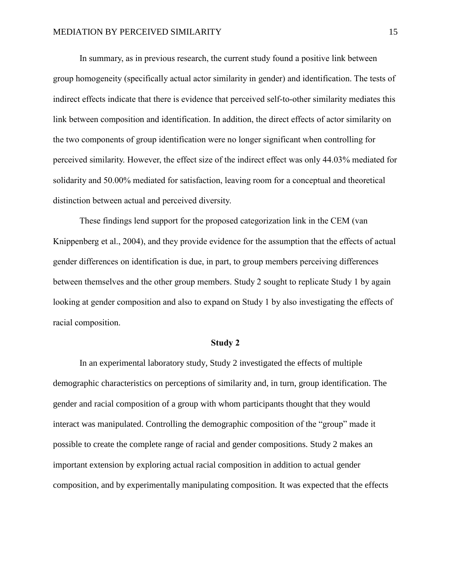In summary, as in previous research, the current study found a positive link between group homogeneity (specifically actual actor similarity in gender) and identification. The tests of indirect effects indicate that there is evidence that perceived self-to-other similarity mediates this link between composition and identification. In addition, the direct effects of actor similarity on the two components of group identification were no longer significant when controlling for perceived similarity. However, the effect size of the indirect effect was only 44.03% mediated for solidarity and 50.00% mediated for satisfaction, leaving room for a conceptual and theoretical distinction between actual and perceived diversity.

These findings lend support for the proposed categorization link in the CEM (van Knippenberg et al., 2004), and they provide evidence for the assumption that the effects of actual gender differences on identification is due, in part, to group members perceiving differences between themselves and the other group members. Study 2 sought to replicate Study 1 by again looking at gender composition and also to expand on Study 1 by also investigating the effects of racial composition.

#### **Study 2**

In an experimental laboratory study, Study 2 investigated the effects of multiple demographic characteristics on perceptions of similarity and, in turn, group identification. The gender and racial composition of a group with whom participants thought that they would interact was manipulated. Controlling the demographic composition of the "group" made it possible to create the complete range of racial and gender compositions. Study 2 makes an important extension by exploring actual racial composition in addition to actual gender composition, and by experimentally manipulating composition. It was expected that the effects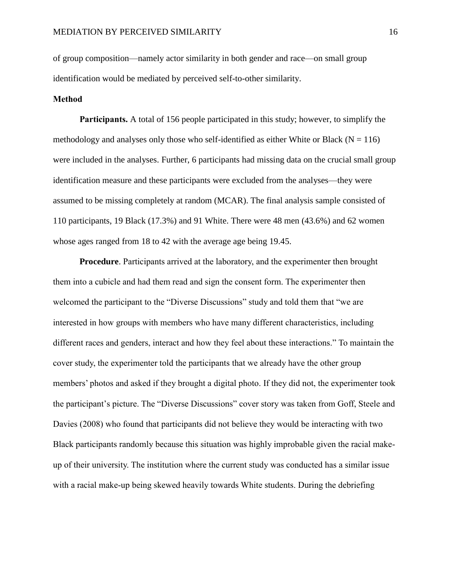of group composition—namely actor similarity in both gender and race—on small group identification would be mediated by perceived self-to-other similarity.

#### **Method**

**Participants.** A total of 156 people participated in this study; however, to simplify the methodology and analyses only those who self-identified as either White or Black ( $N = 116$ ) were included in the analyses. Further, 6 participants had missing data on the crucial small group identification measure and these participants were excluded from the analyses—they were assumed to be missing completely at random (MCAR). The final analysis sample consisted of 110 participants, 19 Black (17.3%) and 91 White. There were 48 men (43.6%) and 62 women whose ages ranged from 18 to 42 with the average age being 19.45.

**Procedure**. Participants arrived at the laboratory, and the experimenter then brought them into a cubicle and had them read and sign the consent form. The experimenter then welcomed the participant to the "Diverse Discussions" study and told them that "we are interested in how groups with members who have many different characteristics, including different races and genders, interact and how they feel about these interactions." To maintain the cover study, the experimenter told the participants that we already have the other group members' photos and asked if they brought a digital photo. If they did not, the experimenter took the participant's picture. The "Diverse Discussions" cover story was taken from Goff, Steele and Davies (2008) who found that participants did not believe they would be interacting with two Black participants randomly because this situation was highly improbable given the racial makeup of their university. The institution where the current study was conducted has a similar issue with a racial make-up being skewed heavily towards White students. During the debriefing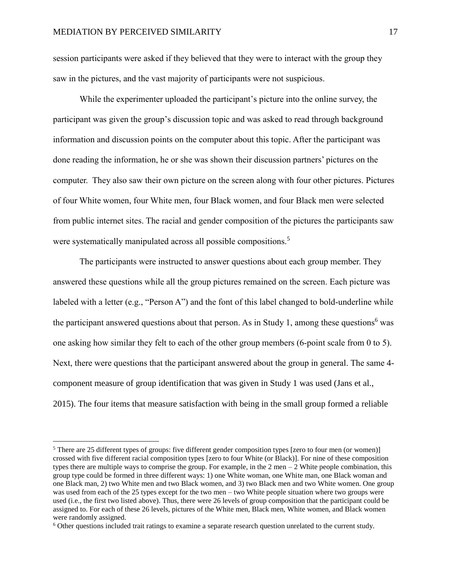$\overline{a}$ 

session participants were asked if they believed that they were to interact with the group they saw in the pictures, and the vast majority of participants were not suspicious.

While the experimenter uploaded the participant's picture into the online survey, the participant was given the group's discussion topic and was asked to read through background information and discussion points on the computer about this topic. After the participant was done reading the information, he or she was shown their discussion partners' pictures on the computer. They also saw their own picture on the screen along with four other pictures. Pictures of four White women, four White men, four Black women, and four Black men were selected from public internet sites. The racial and gender composition of the pictures the participants saw were systematically manipulated across all possible compositions.<sup>5</sup>

The participants were instructed to answer questions about each group member. They answered these questions while all the group pictures remained on the screen. Each picture was labeled with a letter (e.g., "Person A") and the font of this label changed to bold-underline while the participant answered questions about that person. As in Study 1, among these questions<sup>6</sup> was one asking how similar they felt to each of the other group members (6-point scale from 0 to 5). Next, there were questions that the participant answered about the group in general. The same 4 component measure of group identification that was given in Study 1 was used (Jans et al., 2015). The four items that measure satisfaction with being in the small group formed a reliable

<sup>&</sup>lt;sup>5</sup> There are 25 different types of groups: five different gender composition types [zero to four men (or women)] crossed with five different racial composition types [zero to four White (or Black)]. For nine of these composition types there are multiple ways to comprise the group. For example, in the  $2 \text{ men} - 2 \text{ White people combination, this}$ group type could be formed in three different ways: 1) one White woman, one White man, one Black woman and one Black man, 2) two White men and two Black women, and 3) two Black men and two White women. One group was used from each of the 25 types except for the two men – two White people situation where two groups were used (i.e., the first two listed above). Thus, there were 26 levels of group composition that the participant could be assigned to. For each of these 26 levels, pictures of the White men, Black men, White women, and Black women were randomly assigned.

<sup>6</sup> Other questions included trait ratings to examine a separate research question unrelated to the current study.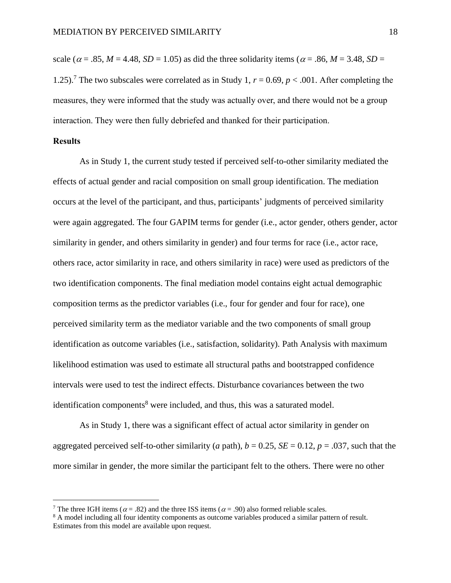scale ( $\alpha = .85$ ,  $M = 4.48$ ,  $SD = 1.05$ ) as did the three solidarity items ( $\alpha = .86$ ,  $M = 3.48$ ,  $SD =$ 1.25).<sup>7</sup> The two subscales were correlated as in Study 1,  $r = 0.69$ ,  $p < .001$ . After completing the measures, they were informed that the study was actually over, and there would not be a group interaction. They were then fully debriefed and thanked for their participation.

#### **Results**

 $\overline{a}$ 

As in Study 1, the current study tested if perceived self-to-other similarity mediated the effects of actual gender and racial composition on small group identification. The mediation occurs at the level of the participant, and thus, participants' judgments of perceived similarity were again aggregated. The four GAPIM terms for gender (i.e., actor gender, others gender, actor similarity in gender, and others similarity in gender) and four terms for race (i.e., actor race, others race, actor similarity in race, and others similarity in race) were used as predictors of the two identification components. The final mediation model contains eight actual demographic composition terms as the predictor variables (i.e., four for gender and four for race), one perceived similarity term as the mediator variable and the two components of small group identification as outcome variables (i.e., satisfaction, solidarity). Path Analysis with maximum likelihood estimation was used to estimate all structural paths and bootstrapped confidence intervals were used to test the indirect effects. Disturbance covariances between the two identification components<sup>8</sup> were included, and thus, this was a saturated model.

As in Study 1, there was a significant effect of actual actor similarity in gender on aggregated perceived self-to-other similarity (*a* path),  $b = 0.25$ , *SE* = 0.12,  $p = .037$ , such that the more similar in gender, the more similar the participant felt to the others. There were no other

<sup>&</sup>lt;sup>7</sup> The three IGH items ( $\alpha$  = .82) and the three ISS items ( $\alpha$  = .90) also formed reliable scales.

<sup>&</sup>lt;sup>8</sup> A model including all four identity components as outcome variables produced a similar pattern of result. Estimates from this model are available upon request.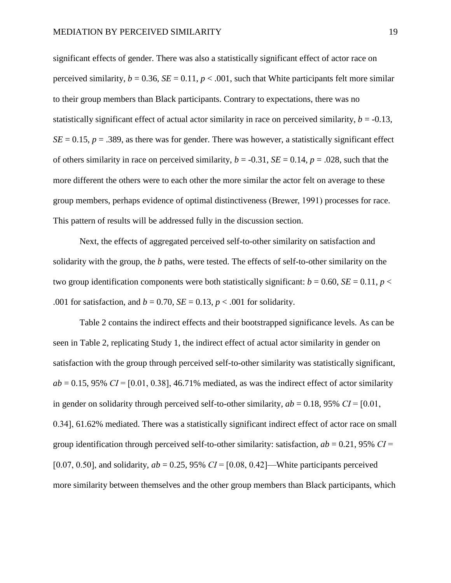significant effects of gender. There was also a statistically significant effect of actor race on perceived similarity,  $b = 0.36$ ,  $SE = 0.11$ ,  $p < .001$ , such that White participants felt more similar to their group members than Black participants. Contrary to expectations, there was no statistically significant effect of actual actor similarity in race on perceived similarity,  $b = -0.13$ ,  $SE = 0.15$ ,  $p = .389$ , as there was for gender. There was however, a statistically significant effect of others similarity in race on perceived similarity,  $b = -0.31$ ,  $SE = 0.14$ ,  $p = .028$ , such that the more different the others were to each other the more similar the actor felt on average to these group members, perhaps evidence of optimal distinctiveness (Brewer, 1991) processes for race. This pattern of results will be addressed fully in the discussion section.

Next, the effects of aggregated perceived self-to-other similarity on satisfaction and solidarity with the group, the *b* paths, were tested. The effects of self-to-other similarity on the two group identification components were both statistically significant:  $b = 0.60$ ,  $SE = 0.11$ ,  $p <$ .001 for satisfaction, and  $b = 0.70$ ,  $SE = 0.13$ ,  $p < .001$  for solidarity.

Table 2 contains the indirect effects and their bootstrapped significance levels. As can be seen in Table 2, replicating Study 1, the indirect effect of actual actor similarity in gender on satisfaction with the group through perceived self-to-other similarity was statistically significant,  $ab = 0.15$ , 95%  $CI = [0.01, 0.38]$ , 46.71% mediated, as was the indirect effect of actor similarity in gender on solidarity through perceived self-to-other similarity,  $ab = 0.18$ , 95%  $CI = [0.01]$ , 0.34], 61.62% mediated. There was a statistically significant indirect effect of actor race on small group identification through perceived self-to-other similarity: satisfaction,  $ab = 0.21$ , 95%  $CI =$ [0.07, 0.50], and solidarity,  $ab = 0.25$ , 95%  $CI = [0.08, 0.42]$ —White participants perceived more similarity between themselves and the other group members than Black participants, which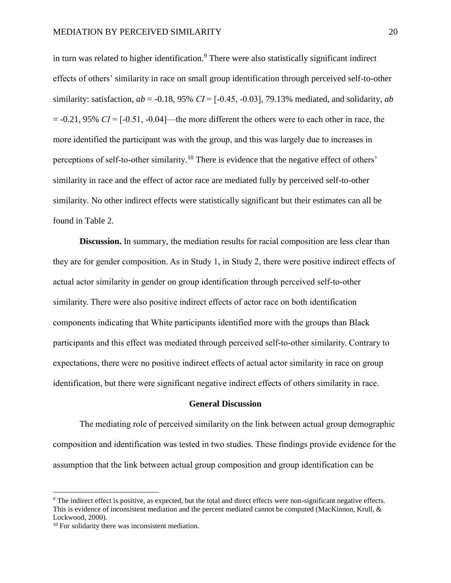in turn was related to higher identification. <sup>9</sup> There were also statistically significant indirect effects of others' similarity in race on small group identification through perceived self-to-other similarity: satisfaction,  $ab = -0.18$ , 95%  $CI = [-0.45, -0.03]$ , 79.13% mediated, and solidarity,  $ab$  $= -0.21$ , 95% *CI* =  $[-0.51, -0.04]$ —the more different the others were to each other in race, the more identified the participant was with the group, and this was largely due to increases in perceptions of self-to-other similarity.<sup>10</sup> There is evidence that the negative effect of others' similarity in race and the effect of actor race are mediated fully by perceived self-to-other similarity. No other indirect effects were statistically significant but their estimates can all be found in Table 2.

**Discussion.** In summary, the mediation results for racial composition are less clear than they are for gender composition. As in Study 1, in Study 2, there were positive indirect effects of actual actor similarity in gender on group identification through perceived self-to-other similarity. There were also positive indirect effects of actor race on both identification components indicating that White participants identified more with the groups than Black participants and this effect was mediated through perceived self-to-other similarity. Contrary to expectations, there were no positive indirect effects of actual actor similarity in race on group identification, but there were significant negative indirect effects of others similarity in race.

#### **General Discussion**

The mediating role of perceived similarity on the link between actual group demographic composition and identification was tested in two studies. These findings provide evidence for the assumption that the link between actual group composition and group identification can be

 $\overline{a}$ 

<sup>9</sup> The indirect effect is positive, as expected, but the total and direct effects were non-significant negative effects. This is evidence of inconsistent mediation and the percent mediated cannot be computed (MacKinnon, Krull, & Lockwood, 2000).

<sup>10</sup> For solidarity there was inconsistent mediation.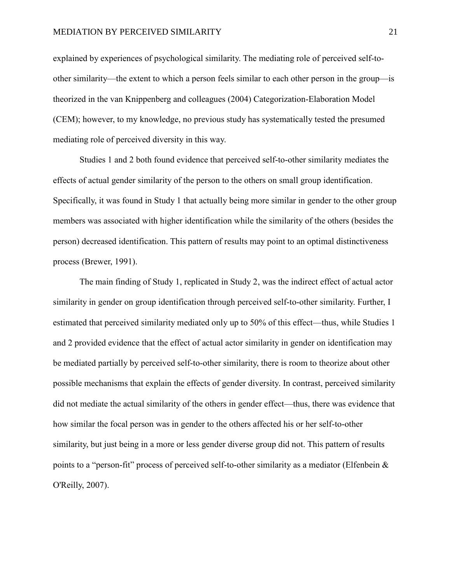explained by experiences of psychological similarity. The mediating role of perceived self-toother similarity—the extent to which a person feels similar to each other person in the group—is theorized in the van Knippenberg and colleagues (2004) Categorization-Elaboration Model (CEM); however, to my knowledge, no previous study has systematically tested the presumed mediating role of perceived diversity in this way.

Studies 1 and 2 both found evidence that perceived self-to-other similarity mediates the effects of actual gender similarity of the person to the others on small group identification. Specifically, it was found in Study 1 that actually being more similar in gender to the other group members was associated with higher identification while the similarity of the others (besides the person) decreased identification. This pattern of results may point to an optimal distinctiveness process (Brewer, 1991).

The main finding of Study 1, replicated in Study 2, was the indirect effect of actual actor similarity in gender on group identification through perceived self-to-other similarity. Further, I estimated that perceived similarity mediated only up to 50% of this effect—thus, while Studies 1 and 2 provided evidence that the effect of actual actor similarity in gender on identification may be mediated partially by perceived self-to-other similarity, there is room to theorize about other possible mechanisms that explain the effects of gender diversity. In contrast, perceived similarity did not mediate the actual similarity of the others in gender effect—thus, there was evidence that how similar the focal person was in gender to the others affected his or her self-to-other similarity, but just being in a more or less gender diverse group did not. This pattern of results points to a "person-fit" process of perceived self-to-other similarity as a mediator (Elfenbein & O'Reilly, 2007).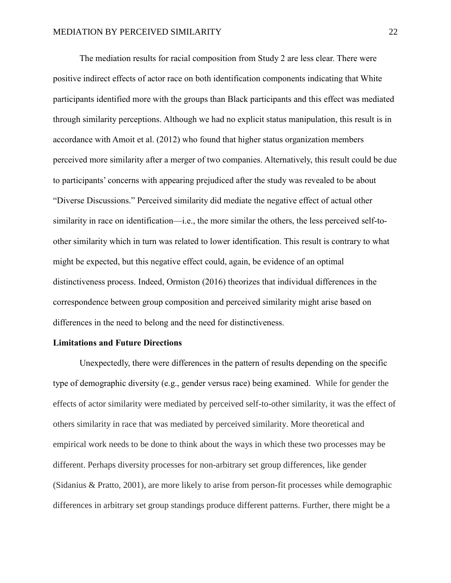The mediation results for racial composition from Study 2 are less clear. There were positive indirect effects of actor race on both identification components indicating that White participants identified more with the groups than Black participants and this effect was mediated through similarity perceptions. Although we had no explicit status manipulation, this result is in accordance with Amoit et al. (2012) who found that higher status organization members perceived more similarity after a merger of two companies. Alternatively, this result could be due to participants' concerns with appearing prejudiced after the study was revealed to be about "Diverse Discussions." Perceived similarity did mediate the negative effect of actual other similarity in race on identification—i.e., the more similar the others, the less perceived self-toother similarity which in turn was related to lower identification. This result is contrary to what might be expected, but this negative effect could, again, be evidence of an optimal distinctiveness process. Indeed, Ormiston (2016) theorizes that individual differences in the correspondence between group composition and perceived similarity might arise based on differences in the need to belong and the need for distinctiveness.

#### **Limitations and Future Directions**

Unexpectedly, there were differences in the pattern of results depending on the specific type of demographic diversity (e.g., gender versus race) being examined. While for gender the effects of actor similarity were mediated by perceived self-to-other similarity, it was the effect of others similarity in race that was mediated by perceived similarity. More theoretical and empirical work needs to be done to think about the ways in which these two processes may be different. Perhaps diversity processes for non-arbitrary set group differences, like gender (Sidanius & Pratto, 2001), are more likely to arise from person-fit processes while demographic differences in arbitrary set group standings produce different patterns. Further, there might be a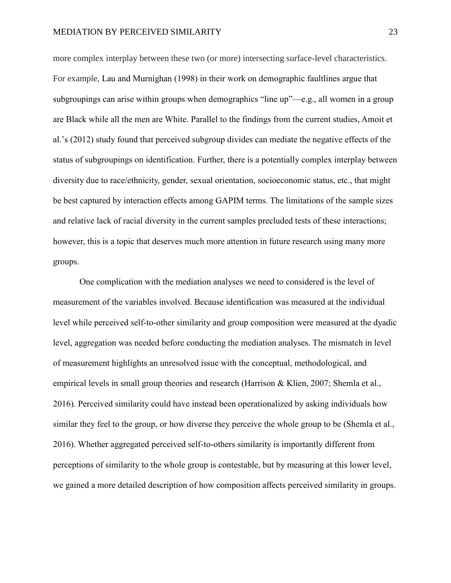#### MEDIATION BY PERCEIVED SIMILARITY 23

more complex interplay between these two (or more) intersecting surface-level characteristics. For example, Lau and Murnighan (1998) in their work on demographic faultlines argue that subgroupings can arise within groups when demographics "line up"—e.g., all women in a group are Black while all the men are White. Parallel to the findings from the current studies, Amoit et al.'s (2012) study found that perceived subgroup divides can mediate the negative effects of the status of subgroupings on identification. Further, there is a potentially complex interplay between diversity due to race/ethnicity, gender, sexual orientation, socioeconomic status, etc., that might be best captured by interaction effects among GAPIM terms. The limitations of the sample sizes and relative lack of racial diversity in the current samples precluded tests of these interactions; however, this is a topic that deserves much more attention in future research using many more groups.

One complication with the mediation analyses we need to considered is the level of measurement of the variables involved. Because identification was measured at the individual level while perceived self-to-other similarity and group composition were measured at the dyadic level, aggregation was needed before conducting the mediation analyses. The mismatch in level of measurement highlights an unresolved issue with the conceptual, methodological, and empirical levels in small group theories and research (Harrison & Klien, 2007; Shemla et al., 2016). Perceived similarity could have instead been operationalized by asking individuals how similar they feel to the group, or how diverse they perceive the whole group to be (Shemla et al., 2016). Whether aggregated perceived self-to-others similarity is importantly different from perceptions of similarity to the whole group is contestable, but by measuring at this lower level, we gained a more detailed description of how composition affects perceived similarity in groups.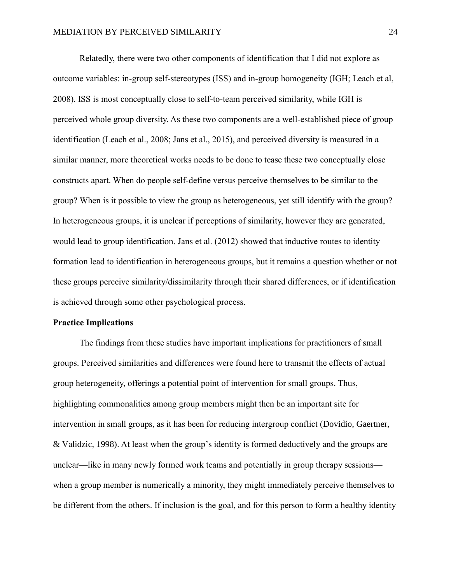Relatedly, there were two other components of identification that I did not explore as outcome variables: in-group self-stereotypes (ISS) and in-group homogeneity (IGH; Leach et al, 2008). ISS is most conceptually close to self-to-team perceived similarity, while IGH is perceived whole group diversity. As these two components are a well-established piece of group identification (Leach et al., 2008; Jans et al., 2015), and perceived diversity is measured in a similar manner, more theoretical works needs to be done to tease these two conceptually close constructs apart. When do people self-define versus perceive themselves to be similar to the group? When is it possible to view the group as heterogeneous, yet still identify with the group? In heterogeneous groups, it is unclear if perceptions of similarity, however they are generated, would lead to group identification. Jans et al. (2012) showed that inductive routes to identity formation lead to identification in heterogeneous groups, but it remains a question whether or not these groups perceive similarity/dissimilarity through their shared differences, or if identification is achieved through some other psychological process.

#### **Practice Implications**

The findings from these studies have important implications for practitioners of small groups. Perceived similarities and differences were found here to transmit the effects of actual group heterogeneity, offerings a potential point of intervention for small groups. Thus, highlighting commonalities among group members might then be an important site for intervention in small groups, as it has been for reducing intergroup conflict (Dovidio, Gaertner, & Validzic, 1998). At least when the group's identity is formed deductively and the groups are unclear—like in many newly formed work teams and potentially in group therapy sessions when a group member is numerically a minority, they might immediately perceive themselves to be different from the others. If inclusion is the goal, and for this person to form a healthy identity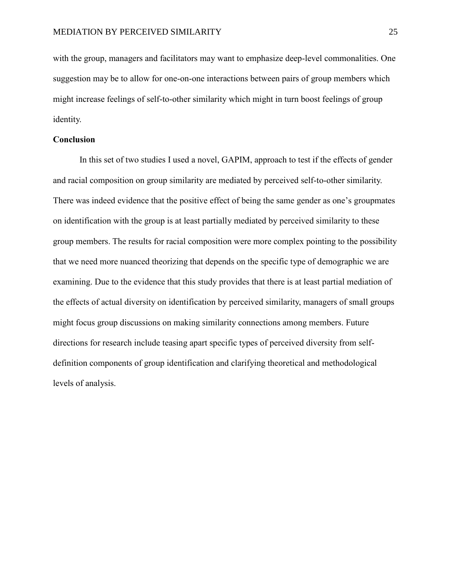with the group, managers and facilitators may want to emphasize deep-level commonalities. One suggestion may be to allow for one-on-one interactions between pairs of group members which might increase feelings of self-to-other similarity which might in turn boost feelings of group identity.

#### **Conclusion**

In this set of two studies I used a novel, GAPIM, approach to test if the effects of gender and racial composition on group similarity are mediated by perceived self-to-other similarity. There was indeed evidence that the positive effect of being the same gender as one's groupmates on identification with the group is at least partially mediated by perceived similarity to these group members. The results for racial composition were more complex pointing to the possibility that we need more nuanced theorizing that depends on the specific type of demographic we are examining. Due to the evidence that this study provides that there is at least partial mediation of the effects of actual diversity on identification by perceived similarity, managers of small groups might focus group discussions on making similarity connections among members. Future directions for research include teasing apart specific types of perceived diversity from selfdefinition components of group identification and clarifying theoretical and methodological levels of analysis.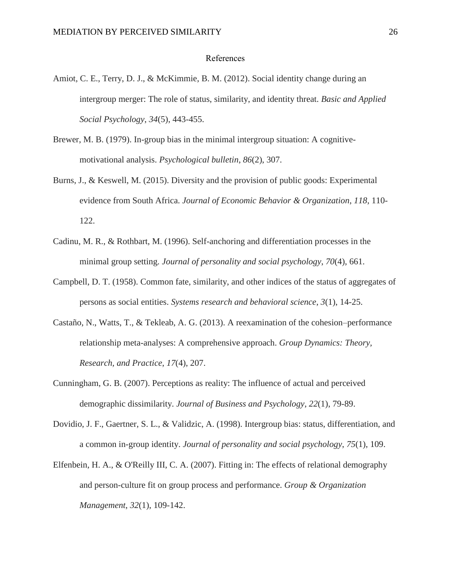#### References

- Amiot, C. E., Terry, D. J., & McKimmie, B. M. (2012). Social identity change during an intergroup merger: The role of status, similarity, and identity threat. *Basic and Applied Social Psychology*, *34*(5), 443-455.
- Brewer, M. B. (1979). In-group bias in the minimal intergroup situation: A cognitivemotivational analysis. *Psychological bulletin*, *86*(2), 307.
- Burns, J., & Keswell, M. (2015). Diversity and the provision of public goods: Experimental evidence from South Africa. *Journal of Economic Behavior & Organization*, *118*, 110- 122.
- Cadinu, M. R., & Rothbart, M. (1996). Self-anchoring and differentiation processes in the minimal group setting. *Journal of personality and social psychology*, *70*(4), 661.
- Campbell, D. T. (1958). Common fate, similarity, and other indices of the status of aggregates of persons as social entities. *Systems research and behavioral science*, *3*(1), 14-25.
- Castaño, N., Watts, T., & Tekleab, A. G. (2013). A reexamination of the cohesion–performance relationship meta-analyses: A comprehensive approach. *Group Dynamics: Theory, Research, and Practice*, *17*(4), 207.
- Cunningham, G. B. (2007). Perceptions as reality: The influence of actual and perceived demographic dissimilarity. *Journal of Business and Psychology*, *22*(1), 79-89.
- Dovidio, J. F., Gaertner, S. L., & Validzic, A. (1998). Intergroup bias: status, differentiation, and a common in-group identity. *Journal of personality and social psychology*, *75*(1), 109.
- Elfenbein, H. A., & O'Reilly III, C. A. (2007). Fitting in: The effects of relational demography and person-culture fit on group process and performance. *Group & Organization Management*, *32*(1), 109-142.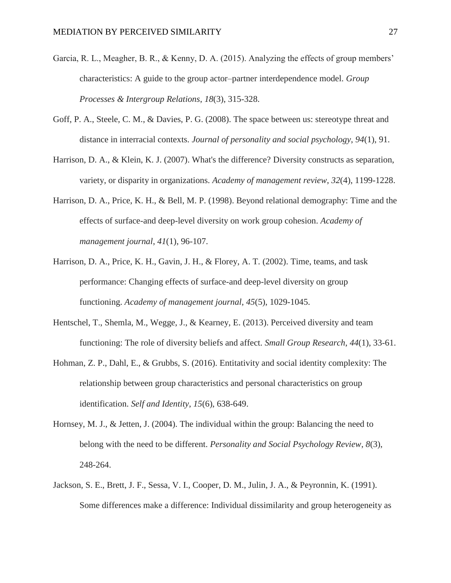- Garcia, R. L., Meagher, B. R., & Kenny, D. A. (2015). Analyzing the effects of group members' characteristics: A guide to the group actor–partner interdependence model. *Group Processes & Intergroup Relations*, *18*(3), 315-328.
- Goff, P. A., Steele, C. M., & Davies, P. G. (2008). The space between us: stereotype threat and distance in interracial contexts. *Journal of personality and social psychology*, *94*(1), 91.
- Harrison, D. A., & Klein, K. J. (2007). What's the difference? Diversity constructs as separation, variety, or disparity in organizations. *Academy of management review*, *32*(4), 1199-1228.
- Harrison, D. A., Price, K. H., & Bell, M. P. (1998). Beyond relational demography: Time and the effects of surface-and deep-level diversity on work group cohesion. *Academy of management journal*, *41*(1), 96-107.
- Harrison, D. A., Price, K. H., Gavin, J. H., & Florey, A. T. (2002). Time, teams, and task performance: Changing effects of surface-and deep-level diversity on group functioning. *Academy of management journal*, *45*(5), 1029-1045.
- Hentschel, T., Shemla, M., Wegge, J., & Kearney, E. (2013). Perceived diversity and team functioning: The role of diversity beliefs and affect. *Small Group Research*, *44*(1), 33-61.
- Hohman, Z. P., Dahl, E., & Grubbs, S. (2016). Entitativity and social identity complexity: The relationship between group characteristics and personal characteristics on group identification. *Self and Identity*, *15*(6), 638-649.
- Hornsey, M. J., & Jetten, J. (2004). The individual within the group: Balancing the need to belong with the need to be different. *Personality and Social Psychology Review*, *8*(3), 248-264.
- Jackson, S. E., Brett, J. F., Sessa, V. I., Cooper, D. M., Julin, J. A., & Peyronnin, K. (1991). Some differences make a difference: Individual dissimilarity and group heterogeneity as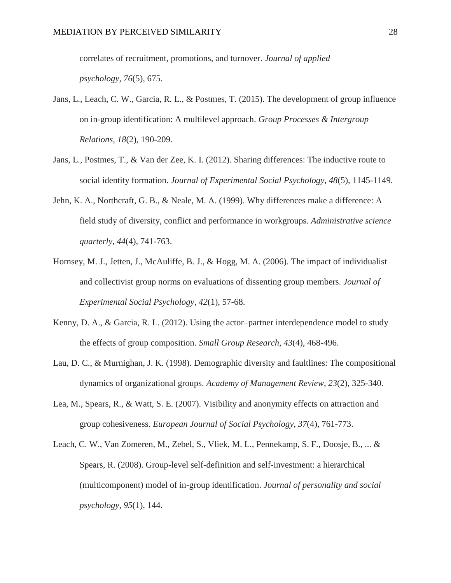correlates of recruitment, promotions, and turnover. *Journal of applied psychology*, *76*(5), 675.

- Jans, L., Leach, C. W., Garcia, R. L., & Postmes, T. (2015). The development of group influence on in-group identification: A multilevel approach. *Group Processes & Intergroup Relations*, *18*(2), 190-209.
- Jans, L., Postmes, T., & Van der Zee, K. I. (2012). Sharing differences: The inductive route to social identity formation. *Journal of Experimental Social Psychology*, *48*(5), 1145-1149.
- Jehn, K. A., Northcraft, G. B., & Neale, M. A. (1999). Why differences make a difference: A field study of diversity, conflict and performance in workgroups. *Administrative science quarterly*, *44*(4), 741-763.
- Hornsey, M. J., Jetten, J., McAuliffe, B. J., & Hogg, M. A. (2006). The impact of individualist and collectivist group norms on evaluations of dissenting group members. *Journal of Experimental Social Psychology*, *42*(1), 57-68.
- Kenny, D. A., & Garcia, R. L. (2012). Using the actor–partner interdependence model to study the effects of group composition. *Small Group Research*, *43*(4), 468-496.
- Lau, D. C., & Murnighan, J. K. (1998). Demographic diversity and faultlines: The compositional dynamics of organizational groups. *Academy of Management Review*, *23*(2), 325-340.
- Lea, M., Spears, R., & Watt, S. E. (2007). Visibility and anonymity effects on attraction and group cohesiveness. *European Journal of Social Psychology*, *37*(4), 761-773.
- Leach, C. W., Van Zomeren, M., Zebel, S., Vliek, M. L., Pennekamp, S. F., Doosje, B., ... & Spears, R. (2008). Group-level self-definition and self-investment: a hierarchical (multicomponent) model of in-group identification. *Journal of personality and social psychology*, *95*(1), 144.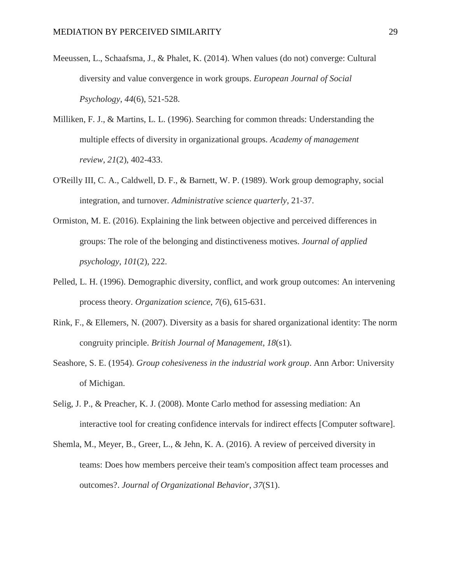- Meeussen, L., Schaafsma, J., & Phalet, K. (2014). When values (do not) converge: Cultural diversity and value convergence in work groups. *European Journal of Social Psychology*, *44*(6), 521-528.
- Milliken, F. J., & Martins, L. L. (1996). Searching for common threads: Understanding the multiple effects of diversity in organizational groups. *Academy of management review*, *21*(2), 402-433.
- O'Reilly III, C. A., Caldwell, D. F., & Barnett, W. P. (1989). Work group demography, social integration, and turnover. *Administrative science quarterly*, 21-37.
- Ormiston, M. E. (2016). Explaining the link between objective and perceived differences in groups: The role of the belonging and distinctiveness motives. *Journal of applied psychology*, *101*(2), 222.
- Pelled, L. H. (1996). Demographic diversity, conflict, and work group outcomes: An intervening process theory. *Organization science*, *7*(6), 615-631.
- Rink, F., & Ellemers, N. (2007). Diversity as a basis for shared organizational identity: The norm congruity principle. *British Journal of Management*, *18*(s1).
- Seashore, S. E. (1954). *Group cohesiveness in the industrial work group*. Ann Arbor: University of Michigan.
- Selig, J. P., & Preacher, K. J. (2008). Monte Carlo method for assessing mediation: An interactive tool for creating confidence intervals for indirect effects [Computer software].
- Shemla, M., Meyer, B., Greer, L., & Jehn, K. A. (2016). A review of perceived diversity in teams: Does how members perceive their team's composition affect team processes and outcomes?. *Journal of Organizational Behavior*, *37*(S1).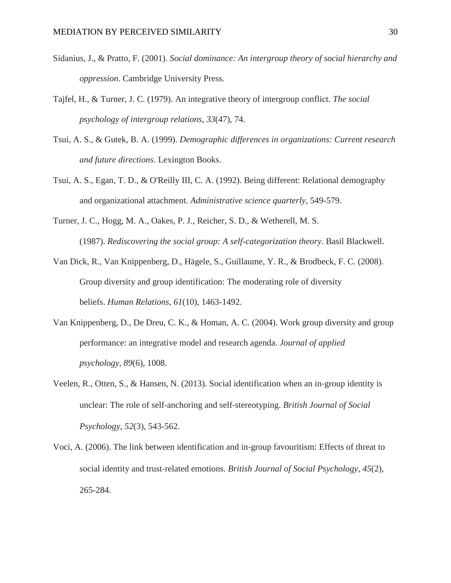- Sidanius, J., & Pratto, F. (2001). *Social dominance: An intergroup theory of social hierarchy and oppression*. Cambridge University Press.
- Tajfel, H., & Turner, J. C. (1979). An integrative theory of intergroup conflict. *The social psychology of intergroup relations*, *33*(47), 74.
- Tsui, A. S., & Gutek, B. A. (1999). *Demographic differences in organizations: Current research and future directions*. Lexington Books.
- Tsui, A. S., Egan, T. D., & O'Reilly III, C. A. (1992). Being different: Relational demography and organizational attachment. *Administrative science quarterly*, 549-579.
- Turner, J. C., Hogg, M. A., Oakes, P. J., Reicher, S. D., & Wetherell, M. S. (1987). *Rediscovering the social group: A self-categorization theory*. Basil Blackwell.
- Van Dick, R., Van Knippenberg, D., Hägele, S., Guillaume, Y. R., & Brodbeck, F. C. (2008). Group diversity and group identification: The moderating role of diversity beliefs. *Human Relations*, *61*(10), 1463-1492.
- Van Knippenberg, D., De Dreu, C. K., & Homan, A. C. (2004). Work group diversity and group performance: an integrative model and research agenda. *Journal of applied psychology*, *89*(6), 1008.
- Veelen, R., Otten, S., & Hansen, N. (2013). Social identification when an in‐group identity is unclear: The role of self‐anchoring and self‐stereotyping. *British Journal of Social Psychology*, *52*(3), 543-562.
- Voci, A. (2006). The link between identification and in‐group favouritism: Effects of threat to social identity and trust‐related emotions. *British Journal of Social Psychology*, *45*(2), 265-284.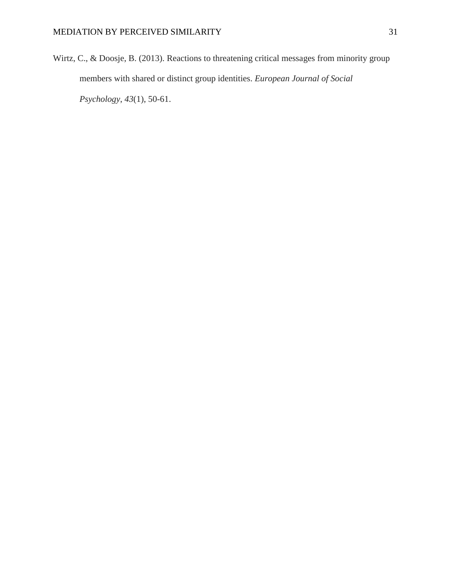Wirtz, C., & Doosje, B. (2013). Reactions to threatening critical messages from minority group members with shared or distinct group identities. *European Journal of Social Psychology*, *43*(1), 50-61.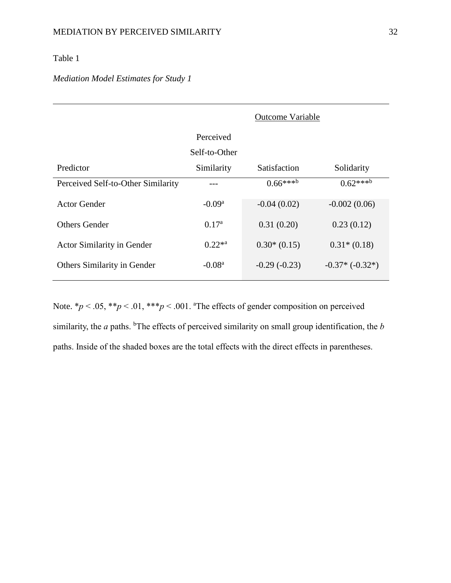### Table 1

### *Mediation Model Estimates for Study 1*

|                                    | <b>Outcome Variable</b> |                      |                      |
|------------------------------------|-------------------------|----------------------|----------------------|
|                                    | Perceived               |                      |                      |
|                                    | Self-to-Other           |                      |                      |
| Predictor                          | Similarity              | <b>Satisfaction</b>  | Solidarity           |
| Perceived Self-to-Other Similarity |                         | $0.66***^{\text{b}}$ | $0.62***^{\text{b}}$ |
| Actor Gender                       | $-0.09a$                | $-0.04(0.02)$        | $-0.002(0.06)$       |
| <b>Others Gender</b>               | 0.17 <sup>a</sup>       | 0.31(0.20)           | 0.23(0.12)           |
| <b>Actor Similarity in Gender</b>  | $0.22^{*a}$             | $0.30*(0.15)$        | $0.31*(0.18)$        |
| <b>Others Similarity in Gender</b> | $-0.08a$                | $-0.29(-0.23)$       | $-0.37*(-0.32*)$     |

Note.  $* p < .05$ ,  $* p < .01$ ,  $* * p < .001$ . The effects of gender composition on perceived similarity, the *a* paths. <sup>b</sup>The effects of perceived similarity on small group identification, the *b* paths. Inside of the shaded boxes are the total effects with the direct effects in parentheses.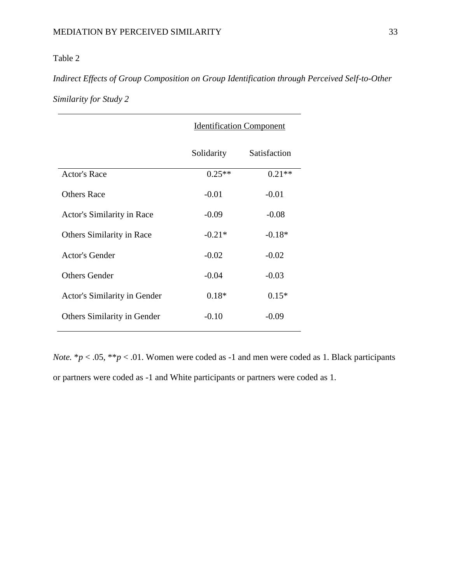## Table 2

## *Indirect Effects of Group Composition on Group Identification through Perceived Self-to-Other Similarity for Study 2*

|                                    | <b>Identification Component</b> |              |
|------------------------------------|---------------------------------|--------------|
|                                    | Solidarity                      | Satisfaction |
| <b>Actor's Race</b>                | $0.25**$                        | $0.21**$     |
| <b>Others Race</b>                 | $-0.01$                         | $-0.01$      |
| Actor's Similarity in Race         | $-0.09$                         | $-0.08$      |
| <b>Others Similarity in Race</b>   | $-0.21*$                        | $-0.18*$     |
| Actor's Gender                     | $-0.02$                         | $-0.02$      |
| <b>Others Gender</b>               | $-0.04$                         | $-0.03$      |
| Actor's Similarity in Gender       | $0.18*$                         | $0.15*$      |
| <b>Others Similarity in Gender</b> | $-0.10$                         | $-0.09$      |
|                                    |                                 |              |

*Note.*  $* p < .05$ ,  $* p < .01$ . Women were coded as -1 and men were coded as 1. Black participants or partners were coded as -1 and White participants or partners were coded as 1.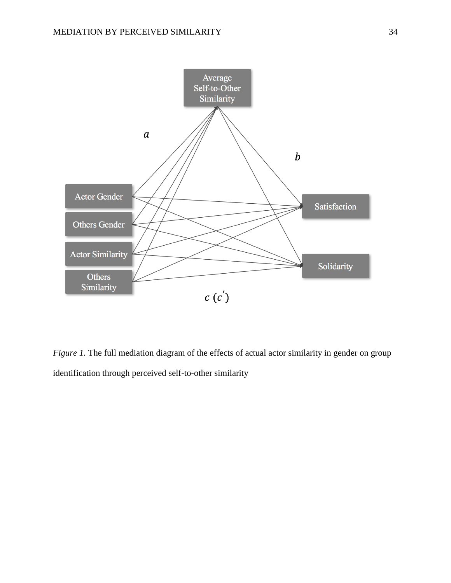

*Figure 1*. The full mediation diagram of the effects of actual actor similarity in gender on group identification through perceived self-to-other similarity